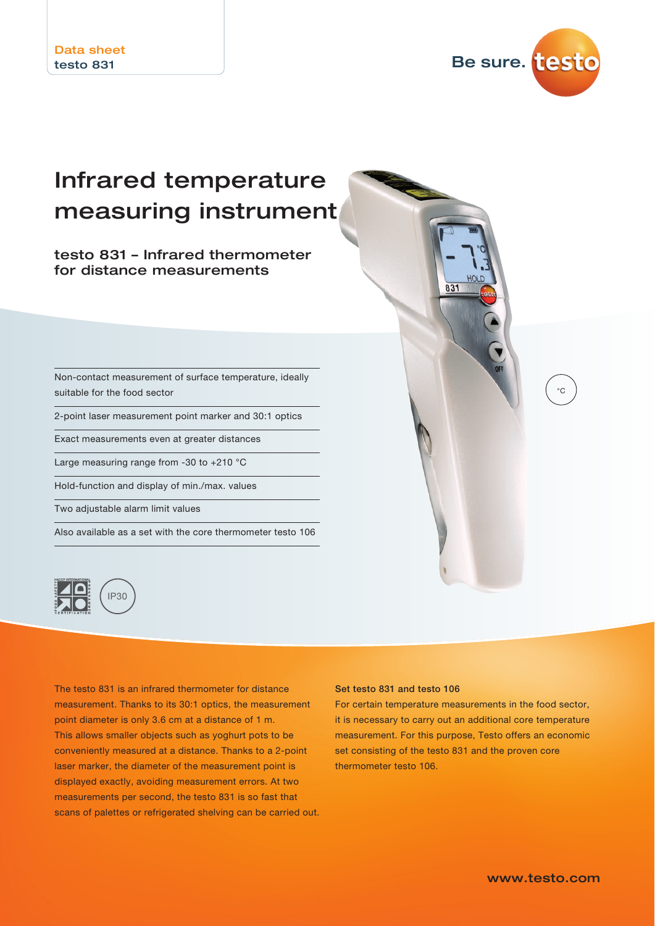

 $^{\circ}C$ 

## Infrared temperature measuring instrument

testo 831 – Infrared thermometer for distance measurements

Non-contact measurement of surface temperature, ideally suitable for the food sector

2-point laser measurement point marker and 30:1 optics

Exact measurements even at greater distances

Large measuring range from -30 to +210 °C

Hold-function and display of min./max. values

Two adjustable alarm limit values

Also available as a set with the core thermometer testo 106



The testo 831 is an infrared thermometer for distance measurement. Thanks to its 30:1 optics, the measurement point diameter is only 3.6 cm at a distance of 1 m. This allows smaller objects such as yoghurt pots to be conveniently measured at a distance. Thanks to a 2-point laser marker, the diameter of the measurement point is displayed exactly, avoiding measurement errors. At two measurements per second, the testo 831 is so fast that scans of palettes or refrigerated shelving can be carried out.

## Set testo 831 and testo 106

For certain temperature measurements in the food sector, it is necessary to carry out an additional core temperature measurement. For this purpose, Testo offers an economic set consisting of the testo 831 and the proven core thermometer testo 106.